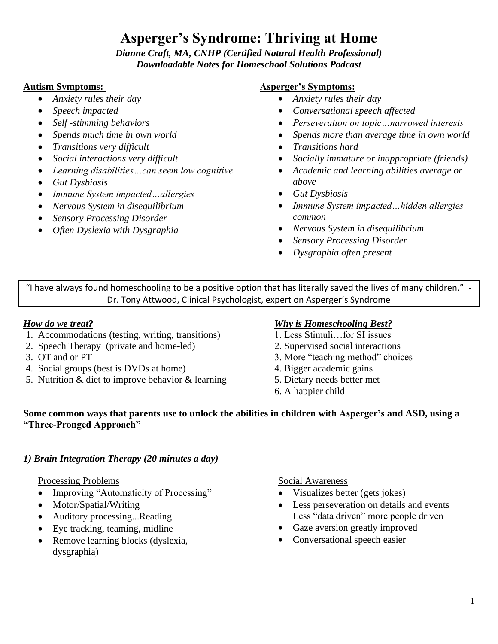# **Asperger's Syndrome: Thriving at Home**

## *Dianne Craft, MA, CNHP (Certified Natural Health Professional) Downloadable Notes for Homeschool Solutions Podcast*

#### **Autism Symptoms:**

- *Anxiety rules their day*
- *Speech impacted*
- *Self -stimming behaviors*
- *Spends much time in own world*
- *Transitions very difficult*
- *Social interactions very difficult*
- *Learning disabilities…can seem low cognitive*
- *Gut Dysbiosis*
- *Immune System impacted…allergies*
- *Nervous System in disequilibrium*
- *Sensory Processing Disorder*
- *Often Dyslexia with Dysgraphia*

#### **Asperger's Symptoms:**

- *Anxiety rules their day*
- *Conversational speech affected*
- *Perseveration on topic…narrowed interests*
- *Spends more than average time in own world*
- *Transitions hard*
- *Socially immature or inappropriate (friends)*
- *Academic and learning abilities average or above*
- *Gut Dysbiosis*
- *Immune System impacted…hidden allergies common*
- *Nervous System in disequilibrium*
- *Sensory Processing Disorder*
- *Dysgraphia often present*

"I have always found homeschooling to be a positive option that has literally saved the lives of many children." - Dr. Tony Attwood, Clinical Psychologist, expert on Asperger's Syndrome

#### *How do we treat?*

- 1. Accommodations (testing, writing, transitions)
- 2. Speech Therapy (private and home-led)
- 3. OT and or PT
- 4. Social groups (best is DVDs at home)
- 5. Nutrition & diet to improve behavior & learning

# *Why is Homeschooling Best?*

- 1. Less Stimuli…for SI issues
- 2. Supervised social interactions
- 3. More "teaching method" choices
- 4. Bigger academic gains
- 5. Dietary needs better met
- 6. A happier child

#### **Some common ways that parents use to unlock the abilities in children with Asperger's and ASD, using a "Three-Pronged Approach"**

# *1) Brain Integration Therapy (20 minutes a day)*

Processing Problems

- Improving "Automaticity of Processing"
- Motor/Spatial/Writing
- Auditory processing...Reading
- Eye tracking, teaming, midline
- Remove learning blocks (dyslexia, dysgraphia)

Social Awareness

- Visualizes better (gets jokes)
- Less perseveration on details and events Less "data driven" more people driven
- Gaze aversion greatly improved
- Conversational speech easier